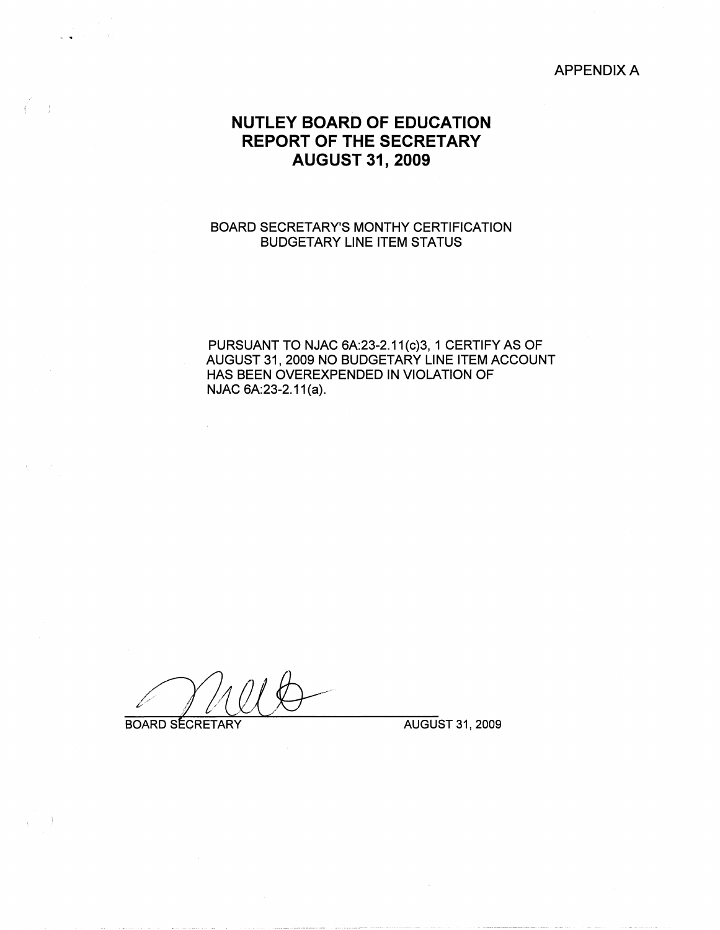#### APPENDIX A

# **NUTLEY BOARD OF EDUCATION REPORT OF THE SECRETARY AUGUST 31, 2009**

#### BOARD SECRETARY'S MONTHY CERTIFICATION BUDGETARY LINE ITEM STATUS

PURSUANT TO NJAC 6A:23-2.11(c)3, 1 CERTIFY AS OF AUGUST 31, 2009 NO BUDGETARY LINE ITEM ACCOUNT HAS BEEN OVEREXPENDED IN VIOLATION OF NJAC 6A:23-2.11(a).

**BOARD SECRETARY** 

 $\ddot{\phantom{a}}$ 

AUGUST 31, 2009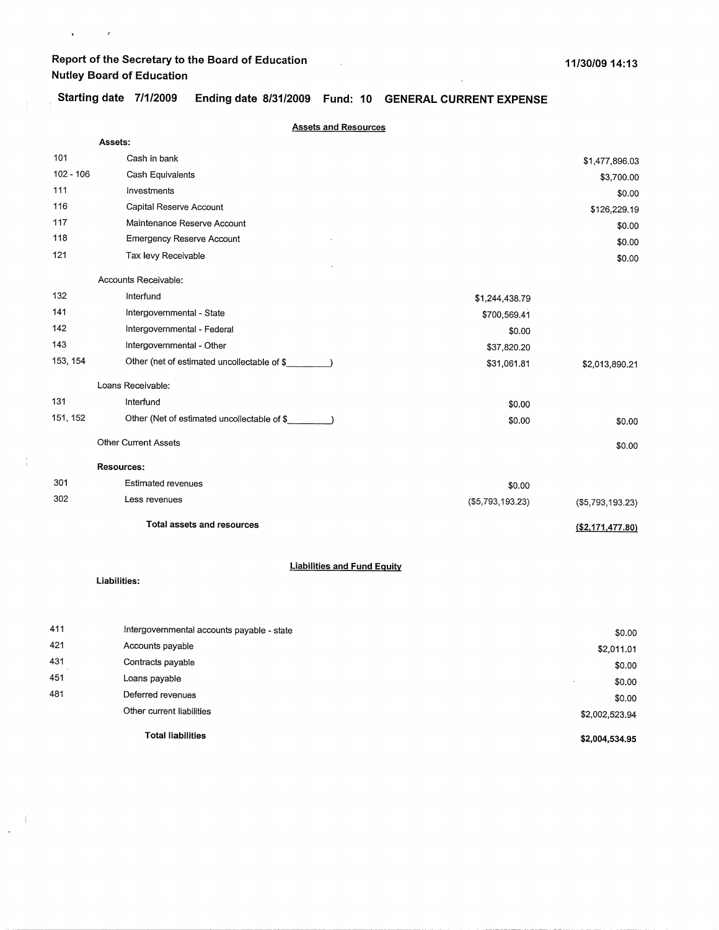$\mathbf{x}^{(i)}$  and  $\mathbf{y}^{(i)}$  and  $\mathbf{y}^{(i)}$ 

 $\langle$ 

 $\mathcal{L}$  $\frac{1}{\sqrt{2}}$ 

, **Starting date 7/1/2009 Ending date 8/31/2009 Fund: 10 GENERAL CURRENT EXPENSE** 

 $\mathcal{L}_{\text{in}}$ 

|             | <b>Assets and Resources</b>                 |                   |                    |
|-------------|---------------------------------------------|-------------------|--------------------|
|             | Assets:                                     |                   |                    |
| 101         | Cash in bank                                |                   | \$1,477,896.03     |
| $102 - 106$ | Cash Equivalents                            |                   | \$3,700.00         |
| 111         | Investments                                 |                   | \$0.00             |
| 116         | Capital Reserve Account                     |                   | \$126,229.19       |
| 117         | Maintenance Reserve Account                 |                   | \$0.00             |
| 118         | <b>Emergency Reserve Account</b>            |                   | \$0.00             |
| 121         | Tax levy Receivable                         |                   | \$0.00             |
|             | Accounts Receivable:                        |                   |                    |
| 132         | Interfund                                   | \$1,244,438.79    |                    |
| 141         | Intergovernmental - State                   | \$700,569.41      |                    |
| 142         | Intergovernmental - Federal                 | \$0.00            |                    |
| 143         | Intergovernmental - Other                   | \$37,820.20       |                    |
| 153, 154    | Other (net of estimated uncollectable of \$ | \$31,061.81       | \$2,013,890.21     |
|             | Loans Receivable:                           |                   |                    |
| 131         | Interfund                                   | \$0.00            |                    |
| 151, 152    | Other (Net of estimated uncollectable of \$ | \$0.00            | \$0.00             |
|             | <b>Other Current Assets</b>                 |                   | \$0.00             |
|             | <b>Resources:</b>                           |                   |                    |
| 301         | Estimated revenues                          | \$0.00            |                    |
| 302         | Less revenues                               | ( \$5,793,193.23) | ( \$5,793,193.23)  |
|             | Total assets and resources                  |                   | (S2, 171, 477, 80) |
|             | <b>Liabilities and Fund Equity</b>          |                   |                    |
|             | Liabilities:                                |                   |                    |
| 411         | Intergovernmental accounts payable - state  |                   | \$0.00             |
| 421         | Accounts payable                            |                   | \$2,011.01         |
| 431         | Contracts payable                           |                   | \$0.00             |
| 451         | Loans payable                               |                   | \$0.00             |
| 481         | Deferred revenues                           |                   | \$0.00             |
|             | Other current liabilities                   |                   | \$2,002,523.94     |

**Total liabilities** 

**\$2,004,534.95**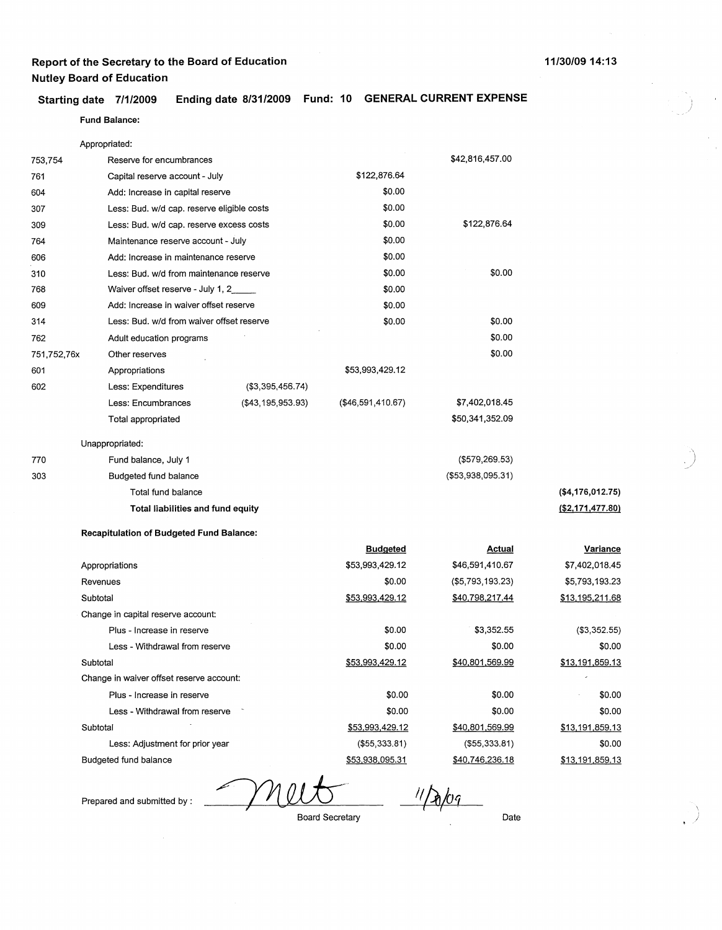## **Starting date 7/1/2009 Ending date 8/31/2009 Fund: 10 GENERAL CURRENT EXPENSE**

#### **Fund Balance:**

|             | Appropriated:                                   |                      |                        |                        |                        |
|-------------|-------------------------------------------------|----------------------|------------------------|------------------------|------------------------|
| 753,754     | Reserve for encumbrances                        |                      |                        | \$42,816,457.00        |                        |
| 761         | Capital reserve account - July                  |                      | \$122,876.64           |                        |                        |
| 604         | Add: Increase in capital reserve                |                      | \$0.00                 |                        |                        |
| 307         | Less: Bud. w/d cap. reserve eligible costs      |                      | \$0.00                 |                        |                        |
| 309         | Less: Bud. w/d cap. reserve excess costs        |                      | \$0.00                 | \$122,876.64           |                        |
| 764         | Maintenance reserve account - July              |                      | \$0.00                 |                        |                        |
| 606         | Add: Increase in maintenance reserve            |                      | \$0.00                 |                        |                        |
| 310         | Less: Bud. w/d from maintenance reserve         |                      | \$0.00                 | \$0.00                 |                        |
| 768         | Waiver offset reserve - July 1, 2               |                      | \$0.00                 |                        |                        |
| 609         | Add: Increase in waiver offset reserve          |                      | \$0.00                 |                        |                        |
| 314         | Less: Bud. w/d from waiver offset reserve       |                      | \$0.00                 | \$0.00                 |                        |
| 762         | Adult education programs                        |                      |                        | \$0.00                 |                        |
| 751,752,76x | Other reserves                                  |                      |                        | \$0.00                 |                        |
| 601         | Appropriations                                  |                      | \$53,993,429.12        |                        |                        |
| 602         | Less: Expenditures                              | (\$3,395,456.74)     |                        |                        |                        |
|             | Less: Encumbrances                              | ( \$43, 195, 953.93) | $(\$46,591,410.67)$    | \$7,402,018.45         |                        |
|             | Total appropriated                              |                      |                        | \$50,341,352.09        |                        |
|             | Unappropriated:                                 |                      |                        |                        |                        |
| 770         | Fund balance, July 1                            |                      |                        | $($ \$579,269.53 $)$   |                        |
| 303         | Budgeted fund balance                           |                      |                        | ( \$53,938,095.31)     |                        |
|             | Total fund balance                              |                      |                        |                        | (\$4,176,012.75)       |
|             | Total liabilities and fund equity               |                      |                        |                        | ( \$2,171,477.80)      |
|             | <b>Recapitulation of Budgeted Fund Balance:</b> |                      |                        |                        |                        |
|             |                                                 |                      | <b>Budgeted</b>        | <b>Actual</b>          | Variance               |
|             | Appropriations                                  |                      | \$53,993,429.12        | \$46,591,410.67        | \$7,402,018.45         |
|             | Revenues                                        |                      | \$0.00                 | ( \$5,793,193.23)      | \$5,793,193.23         |
|             | Subtotal                                        |                      | \$53,993,429.12        | \$40,798,217.44        | \$13,195,211.68        |
|             | Change in capital reserve account:              |                      |                        |                        |                        |
|             | Plus - Increase in reserve                      |                      | \$0.00                 | \$3,352.55             | (\$3,352.55)           |
|             | Less - Withdrawal from reserve                  |                      | \$0.00                 | \$0.00                 | \$0.00                 |
|             | Subtotal                                        |                      | <u>\$53,993,429.12</u> | <u>\$40,801,569.99</u> | <u>\$13,191,859.13</u> |
|             | Change in waiver offset reserve account:        |                      |                        |                        |                        |
|             | Plus - Increase in reserve                      |                      | \$0.00                 | \$0.00                 | \$0.00                 |
|             | Less - Withdrawal from reserve                  |                      | \$0.00                 | \$0.00                 | \$0.00                 |
|             | Subtotal                                        |                      | \$53,993,429.12        | \$40,801,569.99        | \$13,191,859.13        |
|             | Less: Adjustment for prior year                 |                      | (\$55,333.81)          | ( \$55, 333.81)        | \$0.00                 |
|             | Budgeted fund balance                           |                      | \$53,938,095.31        | \$40,746,236.18        | \$13,191,859.13        |

YMI Board Secretary

Prepared and submitted by :

 $11/20/09$ 

Date

## **11/30/0914:13**

 $\overline{\phantom{a}}$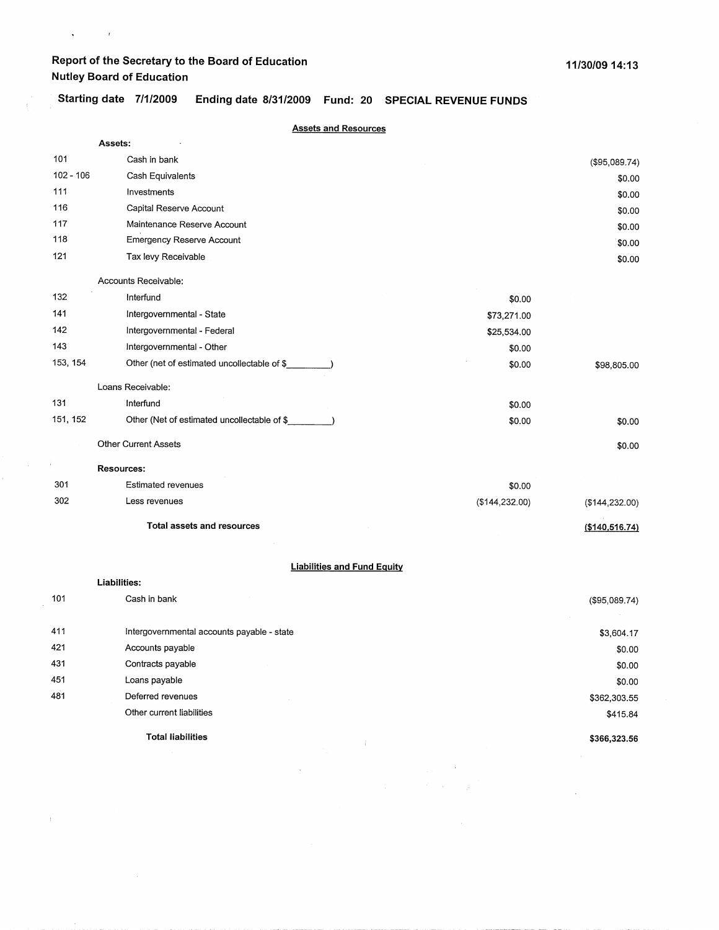$\chi^2_{\rm max}$  and  $\chi^2_{\rm max}$ 

 $\bar{\tau}$ 

 $\pm$ 

**Starting date 7/1/2009 Ending date 8/31/2009 Fund: 20 SPECIAL REVENUE FUNDS** 

|             | <b>Assets and Resources</b>                  |                 |                  |
|-------------|----------------------------------------------|-----------------|------------------|
|             | Assets:                                      |                 |                  |
| 101         | Cash in bank                                 |                 | (\$95,089.74)    |
| $102 - 106$ | Cash Equivalents                             |                 | \$0.00           |
| 111         | Investments                                  |                 | \$0.00           |
| 116         | Capital Reserve Account                      |                 | \$0.00           |
| 117         | Maintenance Reserve Account                  |                 | \$0.00           |
| 118         | <b>Emergency Reserve Account</b>             |                 | \$0.00           |
| 121         | Tax levy Receivable                          |                 | \$0.00           |
|             | Accounts Receivable:                         |                 |                  |
| 132         | Interfund                                    | \$0.00          |                  |
| 141         | Intergovernmental - State                    | \$73,271.00     |                  |
| 142         | Intergovernmental - Federal                  | \$25,534.00     |                  |
| 143         | Intergovernmental - Other                    | \$0.00          |                  |
| 153, 154    | Other (net of estimated uncollectable of \$  | \$0.00          | \$98,805.00      |
|             | Loans Receivable:                            |                 |                  |
| 131         | Interfund                                    | \$0.00          |                  |
| 151, 152    | Other (Net of estimated uncollectable of \$_ | \$0.00          | \$0.00           |
|             | <b>Other Current Assets</b>                  |                 | \$0.00           |
|             | Resources:                                   |                 |                  |
| 301         | <b>Estimated revenues</b>                    | \$0.00          |                  |
| 302         | Less revenues                                | (\$144, 232.00) | ( \$144, 232.00) |
|             | <b>Total assets and resources</b>            |                 | (\$140,516.74)   |
|             |                                              |                 |                  |
|             | <b>Liabilities and Fund Equity</b>           |                 |                  |
|             | Liabilities:                                 |                 |                  |
| 101         | Cash in bank                                 |                 | (\$95,089.74)    |
| 411         | Intergovernmental accounts payable - state   |                 | \$3,604.17       |
| 421         | Accounts payable                             |                 | \$0.00           |

| 431 | Contracts payable         | \$0.00       |
|-----|---------------------------|--------------|
| 451 | Loans payable             | \$0.00       |
| 481 | Deferred revenues         | \$362,303.55 |
|     | Other current liabilities | \$415.84     |
|     | <b>Total liabilities</b>  | \$366,323.56 |

 $\mathcal{L}^{(1)}$ 

 $\hat{f}_{\rm{max}}$  and  $\hat{f}_{\rm{max}}$ 

 $\label{eq:2.1} \mathcal{L}_{\text{max}}(\mathcal{L}_{\text{max}}, \mathbf{r}) = \frac{1}{2} \mathcal{L}_{\text{max}}$ 

 $\sim 10$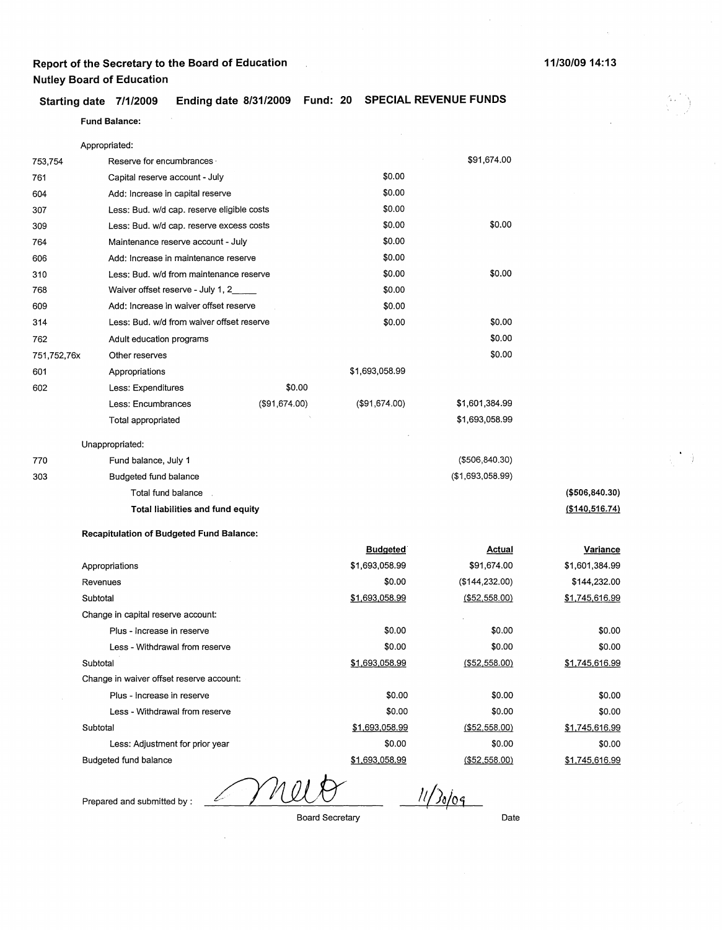### **Starting date 7/1/2009 Ending date 8/31/2009 Fund: 20 SPECIAL REVENUE FUNDS**

#### Fund **Balance:**

Appropriated:

| 753,754     | Reserve for encumbrances ·                      |               |                | \$91,674.00      |
|-------------|-------------------------------------------------|---------------|----------------|------------------|
| 761         | Capital reserve account - July                  |               | \$0.00         |                  |
| 604         | Add: Increase in capital reserve                |               | \$0.00         |                  |
| 307         | Less: Bud. w/d cap. reserve eligible costs      |               | \$0.00         |                  |
| 309         | Less: Bud. w/d cap. reserve excess costs        |               | \$0.00         | \$0.00           |
| 764         | Maintenance reserve account - July              |               | \$0.00         |                  |
| 606         | Add: Increase in maintenance reserve            |               | \$0.00         |                  |
| 310         | Less: Bud. w/d from maintenance reserve         |               | \$0.00         | \$0.00           |
| 768         | Waiver offset reserve - July 1, 2____           |               | \$0.00         |                  |
| 609         | Add: Increase in waiver offset reserve          |               | \$0.00         |                  |
| 314         | Less: Bud. w/d from waiver offset reserve       |               | \$0.00         | \$0.00           |
| 762         | Adult education programs                        |               |                | \$0.00           |
| 751,752,76x | Other reserves                                  |               |                | \$0.00           |
| 601         | Appropriations                                  |               | \$1,693,058.99 |                  |
| 602         | Less: Expenditures                              | \$0.00        |                |                  |
|             | Less: Encumbrances                              | (\$91,674.00) | (\$91,674.00)  | \$1,601,384.99   |
|             | Total appropriated                              |               |                | \$1,693,058.99   |
|             | Unappropriated:                                 |               |                |                  |
| 770         | Fund balance, July 1                            |               |                | ( \$506, 840.30) |
| 303         | Budgeted fund balance                           |               |                | (\$1,693,058.99) |
|             | Total fund balance                              |               |                |                  |
|             | Total liabilities and fund equity               |               |                |                  |
|             | <b>Recapitulation of Budgeted Fund Balance:</b> |               |                |                  |

|                                          | <b>Budgeted</b> | Actual         | Variance       |
|------------------------------------------|-----------------|----------------|----------------|
| Appropriations                           | \$1,693,058.99  | \$91,674.00    | \$1,601,384.99 |
| Revenues                                 | \$0.00          | (\$144,232.00) | \$144,232.00   |
| Subtotal                                 | \$1,693,058.99  | (\$52,558.00)  | \$1,745,616.99 |
| Change in capital reserve account:       |                 |                |                |
| Plus - Increase in reserve               | \$0.00          | \$0.00         | \$0.00         |
| Less - Withdrawal from reserve           | \$0.00          | \$0.00         | \$0.00         |
| Subtotal                                 | \$1,693,058.99  | (S52, 558.00)  | \$1,745,616.99 |
| Change in waiver offset reserve account: |                 |                |                |
| Plus - Increase in reserve               | \$0.00          | \$0.00         | \$0.00         |
| Less - Withdrawal from reserve           | \$0.00          | \$0.00         | \$0.00         |
| Subtotal                                 | \$1,693,058.99  | ( \$52,558.00) | \$1,745,616.99 |
| Less: Adjustment for prior year          | \$0.00          | \$0.00         | \$0.00         |
| Budgeted fund balance                    | \$1,693,058.99  | (\$52,558.00)  | \$1,745,616.99 |
|                                          |                 |                |                |

Prepared and submitted by :

Nl ∠

 $11/30/09$ 

Board Secretary

Date

**(\$506,840.30) (\$140,516.74)**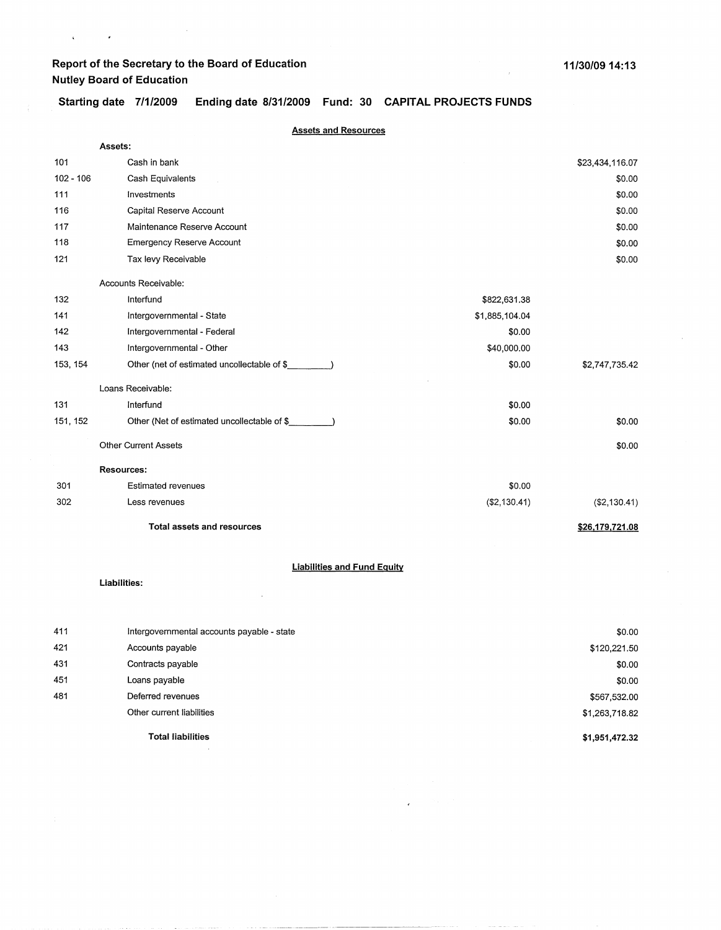$\bar{\beta}$ 

 $\mathbf{q} = \mathbf{q} \times \mathbf{q}$  , where  $\mathbf{q}$ 

**Starting date 7/1/2009 Ending date 8/31/2009 Fund: 30 CAPITAL PROJECTS FUNDS** 

|             | <b>Assets and Resources</b>                                |                |                 |
|-------------|------------------------------------------------------------|----------------|-----------------|
|             | Assets:                                                    |                |                 |
| 101         | Cash in bank                                               |                | \$23,434,116.07 |
| $102 - 106$ | Cash Equivalents                                           |                | \$0.00          |
| 111         | Investments                                                |                | \$0.00          |
| 116         | Capital Reserve Account                                    |                | \$0.00          |
| 117         | Maintenance Reserve Account                                |                | \$0.00          |
| 118         | <b>Emergency Reserve Account</b>                           |                | \$0.00          |
| 121         | Tax levy Receivable                                        |                | \$0.00          |
|             | Accounts Receivable:                                       |                |                 |
| 132         | Interfund                                                  | \$822,631.38   |                 |
| 141         | Intergovernmental - State                                  | \$1,885,104.04 |                 |
| 142         | Intergovernmental - Federal                                | \$0.00         |                 |
| 143         | Intergovernmental - Other                                  | \$40,000.00    |                 |
| 153, 154    | Other (net of estimated uncollectable of $\frac{1}{2}$ (1) | \$0.00         | \$2,747,735.42  |
|             | Loans Receivable:                                          |                |                 |
| 131         | Interfund                                                  | \$0.00         |                 |
| 151, 152    | Other (Net of estimated uncollectable of \$_               | \$0.00         | \$0.00          |
|             | <b>Other Current Assets</b>                                |                | \$0.00          |
|             | Resources:                                                 |                |                 |
| 301         | <b>Estimated revenues</b>                                  | \$0.00         |                 |
| 302         | Less revenues                                              | (\$2,130.41)   | (\$2,130.41)    |
|             | <b>Total assets and resources</b>                          |                | \$26,179,721.08 |
|             | <b>Liabilities and Fund Equity</b>                         |                |                 |
|             | Liabilities:                                               |                |                 |
|             |                                                            |                |                 |
| 411         | Intergovernmental accounts payable - state                 |                | \$0.00          |
| 421         | Accounts payable                                           |                | \$120,221.50    |
| 431         | Contracts payable                                          |                | \$0.00          |
| 451         | Loans payable                                              |                | \$0.00          |

--· -----~·----- ---------

 $\epsilon$ 

**Total liabilities** 

Deferred revenues Other current liabilities

481

\$1,263,718.82 **\$1,951,472.32** 

\$567,532.00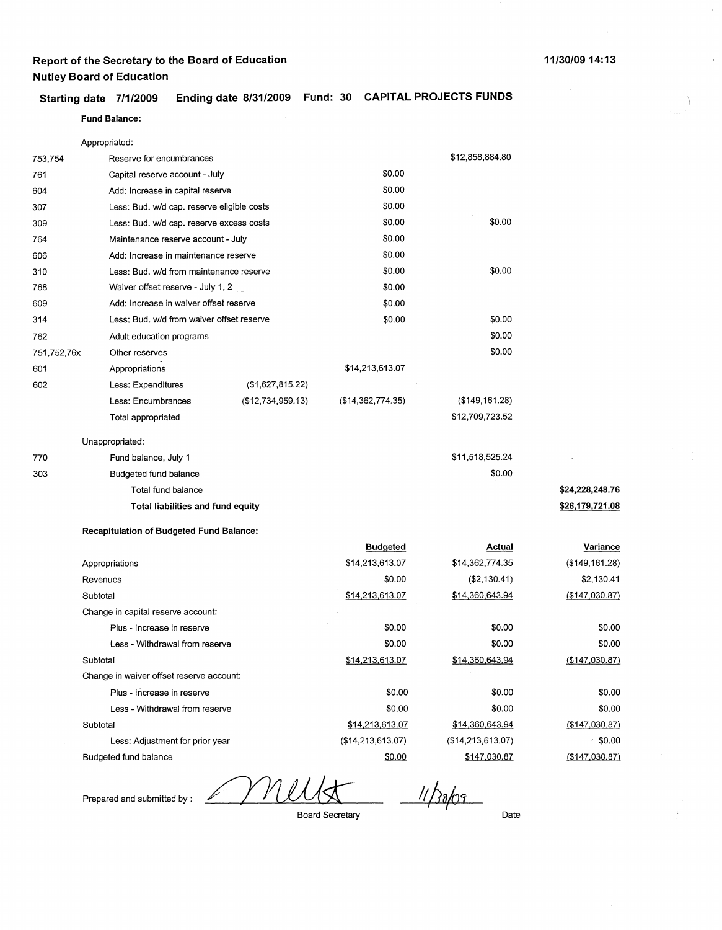#### **Starting date 7/1/2009 Ending date 8/31/2009 Fund: 30 CAPITAL PROJECTS FUNDS**

#### **Fund Balance:**

|             | Appropriated:                                   |                   |                   |                   |                 |
|-------------|-------------------------------------------------|-------------------|-------------------|-------------------|-----------------|
| 753,754     | Reserve for encumbrances                        |                   |                   | \$12,858,884.80   |                 |
| 761         | Capital reserve account - July                  |                   | \$0.00            |                   |                 |
| 604         | Add: Increase in capital reserve                |                   | \$0.00            |                   |                 |
| 307         | Less: Bud. w/d cap. reserve eligible costs      |                   | \$0.00            |                   |                 |
| 309         | Less: Bud. w/d cap. reserve excess costs        |                   | \$0.00            | \$0.00            |                 |
| 764         | Maintenance reserve account - July              |                   | \$0.00            |                   |                 |
| 606         | Add: Increase in maintenance reserve            |                   | \$0.00            |                   |                 |
| 310         | Less: Bud. w/d from maintenance reserve         |                   | \$0.00            | \$0.00            |                 |
| 768         | Waiver offset reserve - July 1, 2_              |                   | \$0.00            |                   |                 |
| 609         | Add: Increase in waiver offset reserve          |                   | \$0.00            |                   |                 |
| 314         | Less: Bud. w/d from waiver offset reserve       |                   | \$0.00            | \$0.00            |                 |
| 762         | Adult education programs                        |                   |                   | \$0.00            |                 |
| 751,752,76x | Other reserves                                  |                   |                   | \$0.00            |                 |
| 601         | Appropriations                                  |                   | \$14,213,613.07   |                   |                 |
| 602         | Less: Expenditures                              | (\$1,627,815.22)  |                   |                   |                 |
|             | Less: Encumbrances                              | (\$12,734,959.13) | (\$14,362,774.35) | (\$149, 161.28)   |                 |
|             | Total appropriated                              |                   |                   | \$12,709,723.52   |                 |
|             | Unappropriated:                                 |                   |                   |                   |                 |
| 770         | Fund balance, July 1                            |                   |                   | \$11,518,525.24   |                 |
| 303         | Budgeted fund balance                           |                   |                   | \$0.00            |                 |
|             | Total fund balance                              |                   |                   |                   | \$24,228,248.76 |
|             | Total liabilities and fund equity               |                   |                   |                   | \$26,179,721.08 |
|             | <b>Recapitulation of Budgeted Fund Balance:</b> |                   |                   |                   |                 |
|             |                                                 |                   | <b>Budgeted</b>   | <b>Actual</b>     | <b>Variance</b> |
|             | Appropriations                                  |                   | \$14,213,613.07   | \$14,362,774.35   | (\$149, 161.28) |
|             | Revenues                                        |                   | \$0.00            | (\$2,130.41)      | \$2,130.41      |
|             | Subtotal                                        |                   | \$14,213,613.07   | \$14,360,643.94   | (\$147,030.87)  |
|             | Change in capital reserve account:              |                   |                   |                   |                 |
|             | Plus - Increase in reserve                      |                   | \$0.00            | \$0.00            | \$0.00          |
|             | Less - Withdrawal from reserve                  |                   | \$0.00            | \$0.00            | \$0.00          |
|             | Subtotal                                        |                   | \$14,213,613.07   | \$14,360,643.94   | (\$147,030.87)  |
|             | Change in waiver offset reserve account:        |                   |                   |                   |                 |
|             | Plus - Increase in reserve                      |                   | \$0.00            | \$0.00            | \$0.00          |
|             | Less - Withdrawal from reserve                  |                   | \$0.00            | \$0.00            | \$0.00          |
|             | Subtotal                                        |                   | \$14,213,613.07   | \$14,360,643.94   | (\$147,030.87)  |
|             | Less: Adjustment for prior year                 |                   | (\$14,213,613.07) | (\$14,213,613.07) | $• $ \$0.00     |
|             | Budgeted fund balance                           |                   | \$0.00            | \$147,030.87      | (\$147,030.87)  |

Prepared and submitted by :

MI

 $\frac{$0.00}{$147.0}$ 

Board Secretary

Date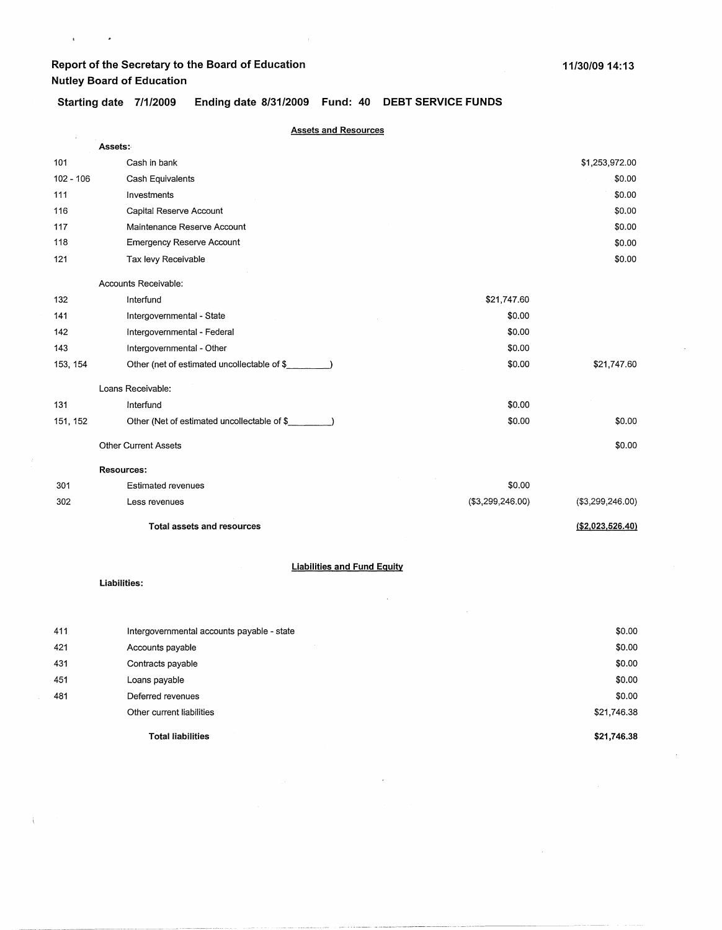$\mathbf{r} = \mathbf{r} \times \mathbf{r}$ 

**Starting date 7/1/2009 Ending date 8/31/2009 Fund: 40 DEBT SERVICE FUNDS** 

|             | <b>Assets and Resources</b>                 |                  |                   |
|-------------|---------------------------------------------|------------------|-------------------|
|             | Assets:                                     |                  |                   |
| 101         | Cash in bank                                |                  | \$1,253,972.00    |
| $102 - 106$ | Cash Equivalents                            |                  | \$0.00            |
| 111         | Investments                                 |                  | \$0.00            |
| 116         | Capital Reserve Account                     |                  | \$0.00            |
| 117         | Maintenance Reserve Account                 |                  | \$0.00            |
| 118         | <b>Emergency Reserve Account</b>            |                  | \$0.00            |
| 121         | Tax levy Receivable                         |                  | \$0.00            |
|             | Accounts Receivable:                        |                  |                   |
| 132         | Interfund                                   | \$21,747.60      |                   |
| 141         | Intergovernmental - State                   | \$0.00           |                   |
| 142         | Intergovernmental - Federal                 | \$0.00           |                   |
| 143         | Intergovernmental - Other                   | \$0.00           |                   |
| 153, 154    | Other (net of estimated uncollectable of \$ | \$0.00           | \$21,747.60       |
|             | Loans Receivable:                           |                  |                   |
| 131         | Interfund                                   | \$0.00           |                   |
| 151, 152    | Other (Net of estimated uncollectable of \$ | \$0.00           | \$0.00            |
|             | <b>Other Current Assets</b>                 |                  | \$0.00            |
|             | <b>Resources:</b>                           |                  |                   |
| 301         | <b>Estimated revenues</b>                   | \$0.00           |                   |
| 302         | Less revenues                               | (\$3,299,246.00) | (\$3,299,246.00)  |
|             | <b>Total assets and resources</b>           |                  | ( \$2,023,526.40) |
|             | <b>Liabilities and Fund Equity</b>          |                  |                   |
|             | Liabilities:                                |                  |                   |
|             |                                             |                  |                   |

|     | <b>Total liabilities</b>                   | \$21,746.38 |
|-----|--------------------------------------------|-------------|
|     | Other current liabilities                  | \$21,746.38 |
| 481 | Deferred revenues                          | \$0.00      |
| 451 | Loans payable                              | \$0.00      |
| 431 | Contracts payable                          | \$0.00      |
| 421 | Accounts payable                           | \$0.00      |
| 411 | Intergovernmental accounts payable - state | \$0.00      |

 $\hat{\mathcal{A}}$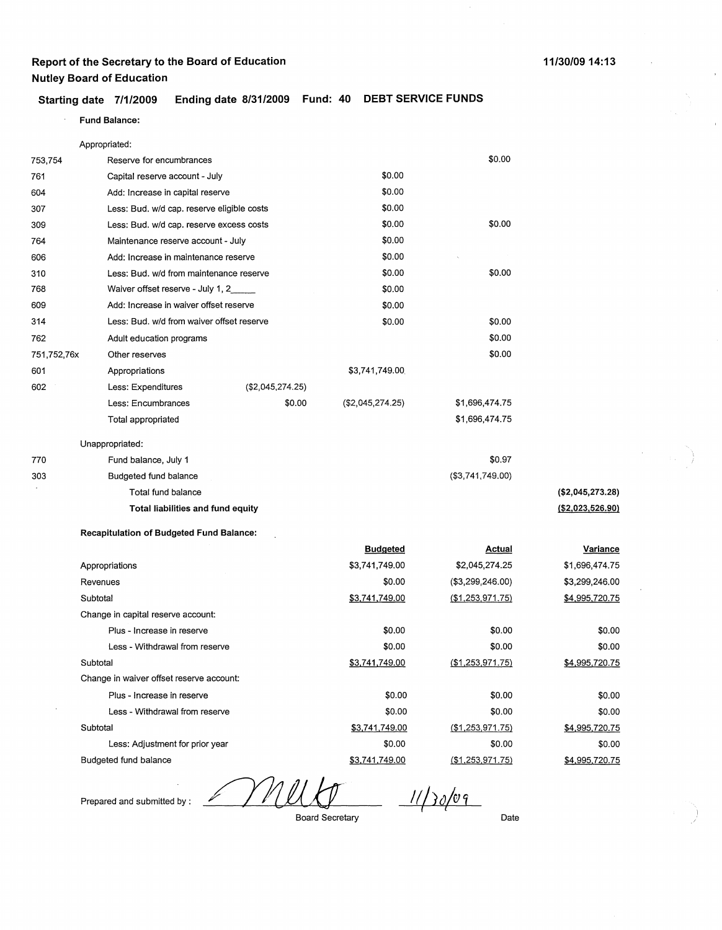#### **Starting date 7/1/2009 Ending date 8/31/2009 Fund: 40 DEBT SERVICE FUNDS**

#### $\ddot{\phantom{a}}$ **Fund Balance:**

|             | Appropriated:                                   |                  |                  |                  |                   |
|-------------|-------------------------------------------------|------------------|------------------|------------------|-------------------|
| 753,754     | Reserve for encumbrances                        |                  |                  | \$0.00           |                   |
| 761         | Capital reserve account - July                  |                  | \$0.00           |                  |                   |
| 604         | Add: Increase in capital reserve                |                  | \$0.00           |                  |                   |
| 307         | Less: Bud. w/d cap. reserve eligible costs      |                  | \$0.00           |                  |                   |
| 309         | Less: Bud. w/d cap. reserve excess costs        |                  | \$0.00           | \$0.00           |                   |
| 764         | Maintenance reserve account - July              |                  | \$0.00           |                  |                   |
| 606         | Add: Increase in maintenance reserve            |                  | \$0.00           |                  |                   |
| 310         | Less: Bud. w/d from maintenance reserve         |                  | \$0.00           | \$0.00           |                   |
| 768         | Waiver offset reserve - July 1, 2               |                  | \$0.00           |                  |                   |
| 609         | Add: Increase in waiver offset reserve          |                  | \$0.00           |                  |                   |
| 314         | Less: Bud. w/d from waiver offset reserve       |                  | \$0.00           | \$0.00           |                   |
| 762         | Adult education programs                        |                  |                  | \$0.00           |                   |
| 751,752,76x | Other reserves                                  |                  |                  | \$0.00           |                   |
| 601         | Appropriations                                  |                  | \$3,741,749.00   |                  |                   |
| 602         | Less: Expenditures                              | (\$2,045,274.25) |                  |                  |                   |
|             | Less: Encumbrances                              | \$0.00           | (\$2,045,274.25) | \$1,696,474.75   |                   |
|             | Total appropriated                              |                  |                  | \$1,696,474.75   |                   |
|             | Unappropriated:                                 |                  |                  |                  |                   |
| 770         | Fund balance, July 1                            |                  |                  | \$0.97           |                   |
| 303         | Budgeted fund balance                           |                  |                  | (\$3,741,749.00) |                   |
|             | Total fund balance                              |                  |                  |                  | (\$2,045,273.28)  |
|             | Total liabilities and fund equity               |                  |                  |                  | ( \$2,023,526.90) |
|             | <b>Recapitulation of Budgeted Fund Balance:</b> |                  |                  |                  |                   |
|             |                                                 |                  | <b>Budgeted</b>  | <u>Actual</u>    | <u>Variance</u>   |
|             | Appropriations                                  |                  | \$3,741,749.00   | \$2,045,274.25   | \$1,696,474.75    |
|             | Revenues                                        |                  | \$0.00           | (\$3,299,246.00) | \$3,299,246.00    |
|             | Subtotal                                        |                  | \$3,741,749.00   | (\$1,253,971.75) | \$4,995,720.75    |
|             | Change in capital reserve account:              |                  |                  |                  |                   |
|             | Plus - Increase in reserve                      |                  | \$0.00           | \$0.00           | \$0.00            |
|             | Less - Withdrawal from reserve                  |                  | \$0.00           | \$0.00           | \$0.00            |
|             | Subtotal                                        |                  | \$3,741,749.00   | (\$1,253,971.75) | \$4,995,720.75    |
|             | Change in waiver offset reserve account:        |                  |                  |                  |                   |
|             | Plus - Increase in reserve                      |                  | \$0.00           | \$0.00           | \$0.00            |
|             | Less - Withdrawal from reserve                  |                  | \$0.00           | \$0.00           | \$0.00            |
|             | Subtotal                                        |                  | \$3,741,749.00   | (\$1,253,971.75) | \$4,995,720.75    |

Budgeted fund balance

Prepared and submitted by :

Less: Adjustment for prior year

 $\mathbb{Z}/2$  $11/30/09$ 

Board Secretary

\$0.00 \$3,741,749.00

Date

\$0.00

(\$1.253,971.75)

 $\overline{1}$ 

\$0.00

\$4,995,720.75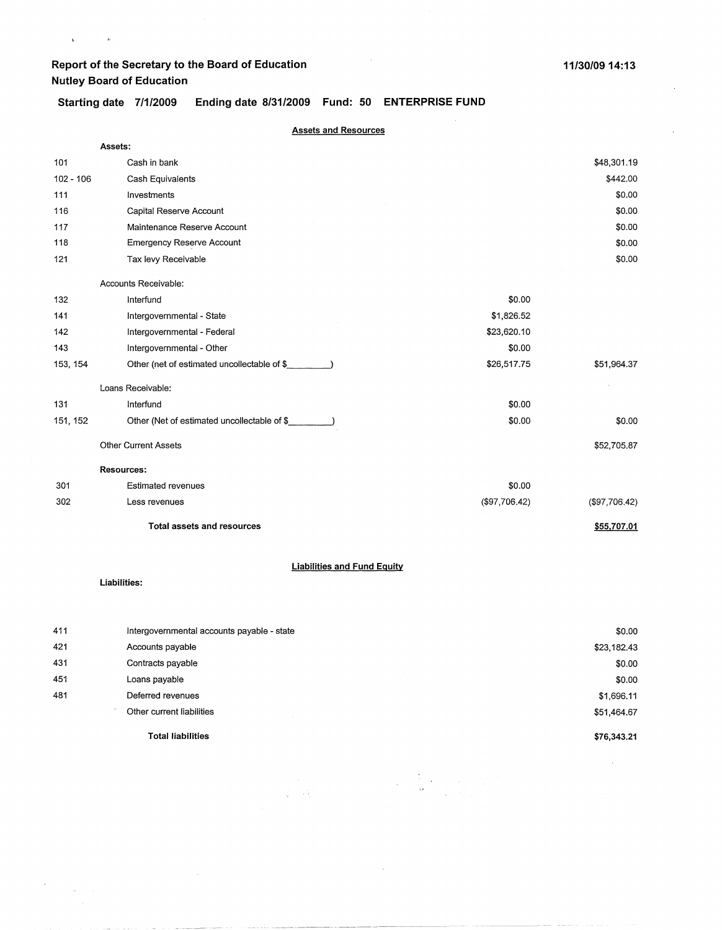$\begin{array}{ccc} \mathbf{L} & \mathbf{R} & \mathbf{R} \\ \mathbf{L} & \mathbf{R} & \mathbf{R} \end{array}$ 

**Starting date 7/1/2009 Ending date 8/31/2009 Fund: 50 ENTERPRISE FUND** 

|             | <b>Assets and Resources</b>                                    |               |                       |
|-------------|----------------------------------------------------------------|---------------|-----------------------|
|             | Assets:                                                        |               |                       |
| 101         | Cash in bank                                                   |               | \$48,301.19           |
| $102 - 106$ | Cash Equivalents                                               |               | \$442.00              |
| 111         | Investments                                                    |               | \$0.00                |
| 116         | Capital Reserve Account                                        |               | \$0.00                |
| 117         | Maintenance Reserve Account                                    |               | \$0.00                |
| 118         | <b>Emergency Reserve Account</b>                               |               | \$0.00                |
| 121         | Tax levy Receivable                                            |               | \$0.00                |
|             | Accounts Receivable:                                           |               |                       |
| 132         | Interfund                                                      | \$0.00        |                       |
| 141         | Intergovernmental - State                                      | \$1,826.52    |                       |
| 142         | Intergovernmental - Federal                                    | \$23,620.10   |                       |
| 143         | Intergovernmental - Other                                      | \$0.00        |                       |
| 153, 154    | Other (net of estimated uncollectable of \$                    | \$26,517.75   | \$51,964.37           |
|             | Loans Receivable:                                              |               |                       |
| 131         | Interfund                                                      | \$0.00        |                       |
| 151, 152    | Other (Net of estimated uncollectable of \$                    | \$0.00        | \$0.00                |
|             | <b>Other Current Assets</b>                                    |               | \$52,705.87           |
|             | Resources:                                                     |               |                       |
| 301         | <b>Estimated revenues</b>                                      | \$0.00        |                       |
| 302         | Less revenues                                                  | (\$97,706.42) | (\$97,706.42)         |
|             | <b>Total assets and resources</b>                              |               | \$55,707.01           |
|             | <b>Liabilities and Fund Equity</b>                             |               |                       |
|             | Liabilities:                                                   |               |                       |
| 411         |                                                                |               |                       |
| 421         | Intergovernmental accounts payable - state<br>Accounts payable |               | \$0.00<br>\$23,182.43 |
| 431         | Contracts payable                                              |               |                       |
| 451         | Loans payable                                                  |               | \$0.00<br>\$0.00      |
|             |                                                                |               |                       |

 $\label{eq:2} \begin{split} \mathcal{L}_{\text{max}} &= \frac{1}{2\pi}\sum_{i=1}^{N} \left\{ \mathbf{X}_{i}^{(i)} \mathbf{1}_{\mathcal{I}_{i}} \mathbf{1}_{\mathcal{I}_{i}} \right\} \mathbf{1}_{\mathcal{I}_{i}} \\ \mathbf{1}_{\mathcal{I}_{i}} &= \mathbf{1}_{\mathcal{I}_{i}} \mathbf{1}_{\mathcal{I}_{i}} \mathbf{1}_{\mathcal{I}_{i}} \mathbf{1}_{\mathcal{I}_{i}} \mathbf{1}_{\mathcal{I}_{i}} \mathbf{1}_{\mathcal{I}_{i}} \mathbf{1}_{\mathcal{I}_{i}} \math$ 

**Total liabilities** 

Deferred revenues Other current liabilities

481

 $\label{eq:2} \frac{d\mathbf{r}}{d\mathbf{r}} = \frac{1}{2\pi}\frac{d\mathbf{r}}{d\mathbf{r}}\frac{d\mathbf{r}}{d\mathbf{r}}$ 

**\$76,343.21** 

 $\sim$ 

\$1,696.11 \$51,464.67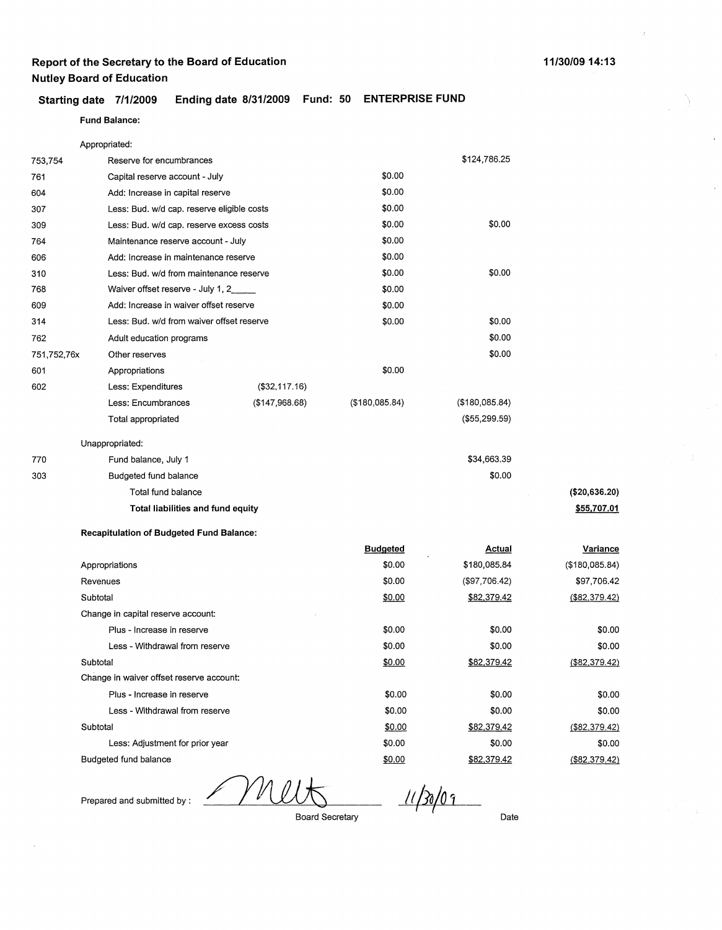#### **Starting date 7/1/2009 Ending date 8/31/2009 Fund: 50 ENTERPRISE FUND**

#### **Fund Balance:**

|             | Appropriated:                                   |                |                      |                |                |
|-------------|-------------------------------------------------|----------------|----------------------|----------------|----------------|
| 753,754     | Reserve for encumbrances                        |                |                      | \$124,786.25   |                |
| 761         | Capital reserve account - July                  |                | \$0.00               |                |                |
| 604         | Add: Increase in capital reserve                |                | \$0.00               |                |                |
| 307         | Less: Bud. w/d cap. reserve eligible costs      |                | \$0.00               |                |                |
| 309         | Less: Bud. w/d cap. reserve excess costs        |                | \$0.00               | \$0.00         |                |
| 764         | Maintenance reserve account - July              |                | \$0.00               |                |                |
| 606         | Add: Increase in maintenance reserve            |                | \$0.00               |                |                |
| 310         | Less: Bud. w/d from maintenance reserve         |                | \$0.00               | \$0.00         |                |
| 768         | Waiver offset reserve - July 1, 2_              |                | \$0.00               |                |                |
| 609         | Add: Increase in waiver offset reserve          |                | \$0.00               |                |                |
| 314         | Less: Bud. w/d from waiver offset reserve       |                | \$0.00               | \$0.00         |                |
| 762         | Adult education programs                        |                |                      | \$0.00         |                |
| 751,752,76x | Other reserves                                  |                |                      | \$0.00         |                |
| 601         | Appropriations                                  |                | \$0.00               |                |                |
| 602         | Less: Expenditures                              | (\$32,117,16)  |                      |                |                |
|             | Less: Encumbrances                              | (\$147,968.68) | $($ \$180,085.84 $)$ | (\$180,085.84) |                |
|             | Total appropriated                              |                |                      | (\$55,299.59)  |                |
|             | Unappropriated:                                 |                |                      |                |                |
| 770         | Fund balance, July 1                            |                |                      | \$34,663.39    |                |
| 303         | Budgeted fund balance                           |                |                      | \$0.00         |                |
|             | Total fund balance                              |                |                      |                | (\$20,636.20)  |
|             | Total liabilities and fund equity               |                |                      |                | \$55,707.01    |
|             | <b>Recapitulation of Budgeted Fund Balance:</b> |                |                      |                |                |
|             |                                                 |                | <b>Budgeted</b>      | <b>Actual</b>  | Variance       |
|             | Appropriations                                  |                | \$0.00               | \$180,085.84   | (\$180,085.84) |
|             | Revenues                                        |                | \$0.00               | (\$97,706.42)  | \$97,706.42    |
|             | Subtotal                                        |                | \$0.00               | \$82,379.42    | (\$82,379.42)  |
|             | Change in capital reserve account:              |                |                      |                |                |
|             | Plus - Increase in reserve                      |                | \$0.00               | \$0.00         | \$0.00         |
|             | Less - Withdrawal from reserve                  |                | \$0.00               | \$0.00         | \$0.00         |
|             | Subtotal                                        |                | \$0.00               | \$82,379.42    | (\$82,379.42)  |
|             | Change in waiver offset reserve account:        |                |                      |                |                |
|             | Plus - Increase in reserve                      |                | \$0.00               | \$0.00         | \$0.00         |
|             | Less - Withdrawal from reserve                  |                | \$0.00               | \$0.00         | \$0.00         |
|             | Subtotal                                        |                | \$0.00               | \$82,379.42    | (\$82,379.42)  |

Budgeted fund balance

Less: Adjustment for prior year

Prepared and submitted by :

Board Secretary

\$0.00 \$0.00

I **l** 

*11 halo~·*  Date

\$0.00 \$82,379.42

\$0.00 (\$82.379.42)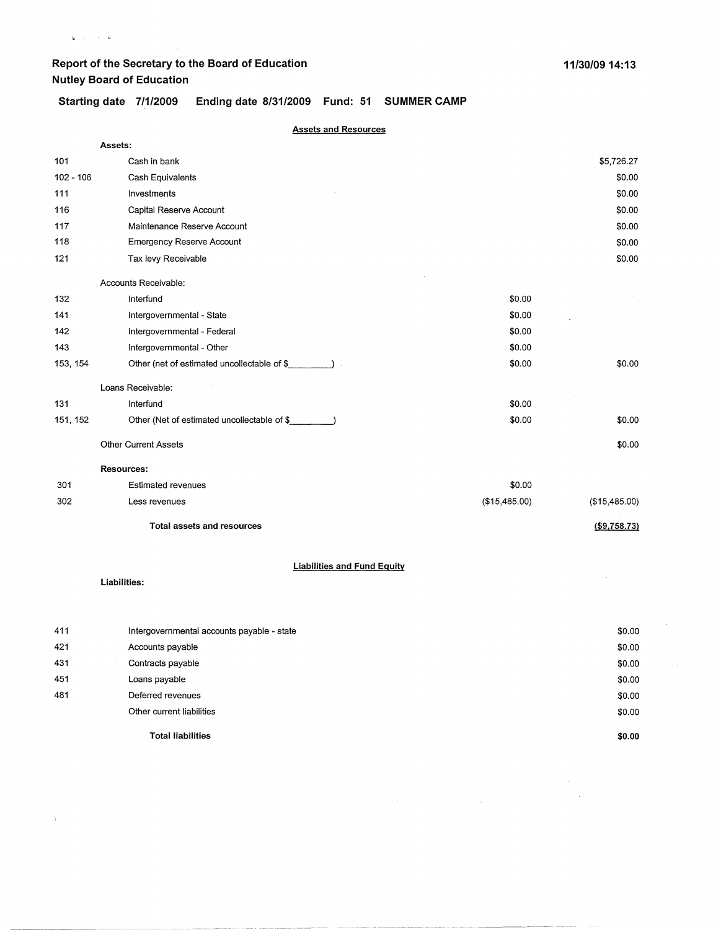$\mathbf{L}^{\left(1,1\right)}$  , where  $\mathbf{L}^{\left(1,1\right)}$ 

Starting date 7/1/2009 Ending date 8/31/2009 Fund: 51 SUMMER CAMP

| <b>Assets and Resources</b> |                                             |               |               |  |
|-----------------------------|---------------------------------------------|---------------|---------------|--|
|                             | Assets:                                     |               |               |  |
| 101                         | Cash in bank                                |               | \$5,726.27    |  |
| $102 - 106$                 | Cash Equivalents                            |               | \$0.00        |  |
| 111                         | Investments                                 |               | \$0.00        |  |
| 116                         | Capital Reserve Account                     |               | \$0.00        |  |
| 117                         | Maintenance Reserve Account                 |               | \$0.00        |  |
| 118                         | <b>Emergency Reserve Account</b>            |               | \$0.00        |  |
| 121                         | Tax levy Receivable                         |               | \$0.00        |  |
|                             | Accounts Receivable:                        |               |               |  |
| 132                         | Interfund                                   | \$0.00        |               |  |
| 141                         | Intergovernmental - State                   | \$0.00        |               |  |
| 142                         | Intergovernmental - Federal                 | \$0.00        |               |  |
| 143                         | Intergovernmental - Other                   | \$0.00        |               |  |
| 153, 154                    | Other (net of estimated uncollectable of \$ | \$0.00        | \$0.00        |  |
|                             | Loans Receivable:                           |               |               |  |
| 131                         | Interfund                                   | \$0.00        |               |  |
| 151, 152                    | Other (Net of estimated uncollectable of \$ | \$0.00        | \$0.00        |  |
|                             | <b>Other Current Assets</b>                 |               | \$0.00        |  |
|                             | <b>Resources:</b>                           |               |               |  |
| 301                         | <b>Estimated revenues</b>                   | \$0.00        |               |  |
| 302                         | Less revenues                               | (\$15,485.00) | (\$15,485.00) |  |
|                             | <b>Total assets and resources</b>           |               | (\$9,758.73)  |  |
|                             | <b>Liabilities and Fund Equity</b>          |               |               |  |
|                             | Liabilities:                                |               |               |  |
|                             |                                             |               |               |  |
| 411                         | Intergovernmental accounts payable - state  |               | \$0.00        |  |
| 421                         | Accounts payable                            |               | \$0.00        |  |
| 431                         | Contracts payable                           |               | \$0.00        |  |
| 451                         | Loans payable                               |               | \$0.00        |  |
| 481                         | Deferred revenues                           |               | \$0.00        |  |

 $\label{eq:2} \begin{split} \mathcal{L}_{\text{max}}(\mathbf{r}) = \mathcal{L}_{\text{max}}(\mathbf{r}) \mathcal{L}_{\text{max}}(\mathbf{r}) \,, \end{split}$ 

**Total liabilities** 

Other current liabilities

 $\longrightarrow$  ).

**\$0.00** 

 $\mathcal{O}(\mathcal{O}_\mathcal{O})$  $\sim 10^{-11}$ 

\$0.00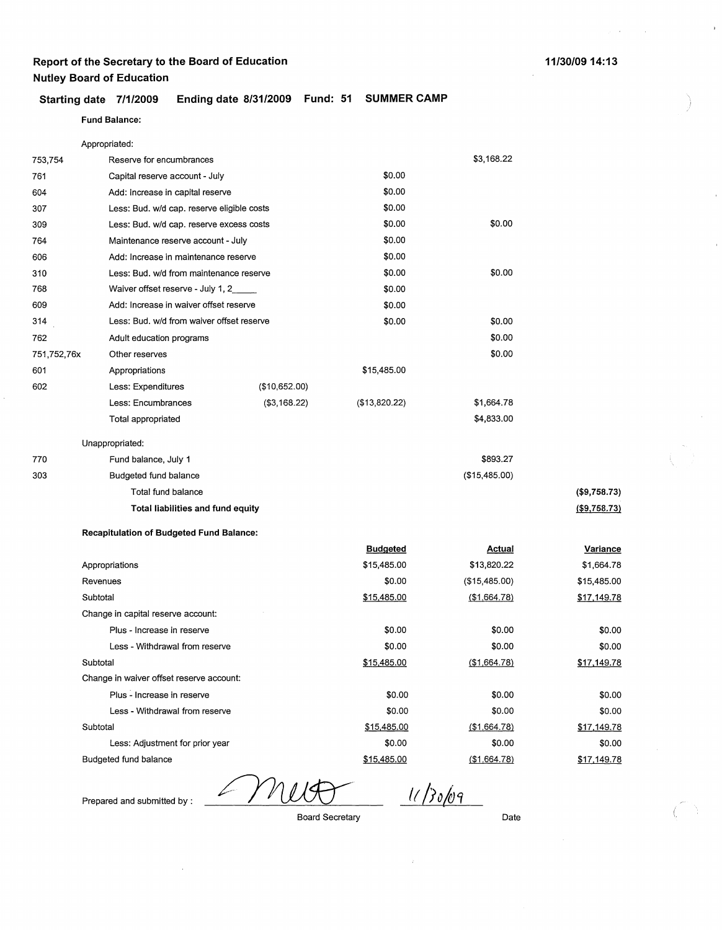#### **Starting date 7/1/2009 Ending date 8/31/2009 Fund: 51 SUMMER CAMP**

#### **Fund Balance:**

Appropriated:

| 753,754     | Reserve for encumbrances                   |               |               | \$3,168.22    |               |
|-------------|--------------------------------------------|---------------|---------------|---------------|---------------|
| 761         | Capital reserve account - July             |               | \$0.00        |               |               |
| 604         | Add: Increase in capital reserve           |               | \$0.00        |               |               |
| 307         | Less: Bud. w/d cap. reserve eligible costs |               | \$0.00        |               |               |
| 309         | Less: Bud. w/d cap. reserve excess costs   |               | \$0.00        | \$0.00        |               |
| 764         | Maintenance reserve account - July         |               | \$0.00        |               |               |
| 606         | Add: Increase in maintenance reserve       |               | \$0.00        |               |               |
| 310         | Less: Bud. w/d from maintenance reserve    |               | \$0.00        | \$0.00        |               |
| 768         | Waiver offset reserve - July 1, 2          |               | \$0.00        |               |               |
| 609         | Add: Increase in waiver offset reserve     |               | \$0.00        |               |               |
| 314         | Less: Bud. w/d from waiver offset reserve  |               | \$0.00        | \$0.00        |               |
| 762         | Adult education programs                   |               |               | \$0.00        |               |
| 751,752,76x | Other reserves                             |               |               | \$0.00        |               |
| 601         | Appropriations                             |               | \$15,485.00   |               |               |
| 602         | Less: Expenditures                         | (\$10,652.00) |               |               |               |
|             | Less: Encumbrances                         | (\$3,168.22)  | (\$13,820.22) | \$1,664.78    |               |
|             | Total appropriated                         |               |               | \$4,833.00    |               |
|             | Unappropriated:                            |               |               |               |               |
| 770         | Fund balance, July 1                       |               |               | \$893.27      |               |
| 303         | Budgeted fund balance                      |               |               | (\$15,485.00) |               |
|             | Total fund balance                         |               |               |               | (\$9,758.73)  |
|             | Total liabilities and fund equity          |               |               |               | ( \$9,758.73) |

#### **Recapitulation of Budgeted Fund Balance:**

Prepared and submitted by :

|                                          | <b>Budgeted</b> | Actual        | Variance    |
|------------------------------------------|-----------------|---------------|-------------|
| Appropriations                           | \$15,485.00     | \$13,820.22   | \$1,664.78  |
| Revenues                                 | \$0.00          | (\$15,485.00) | \$15,485.00 |
| Subtotal                                 | \$15,485.00     | (\$1,664.78)  | \$17,149.78 |
| Change in capital reserve account:       |                 |               |             |
| Plus - Increase in reserve               | \$0.00          | \$0.00        | \$0.00      |
| Less - Withdrawal from reserve           | \$0.00          | \$0.00        | \$0.00      |
| Subtotal                                 | \$15,485.00     | (\$1,664.78)  | \$17,149.78 |
| Change in waiver offset reserve account: |                 |               |             |
| Plus - Increase in reserve               | \$0.00          | \$0.00        | \$0.00      |
| Less - Withdrawal from reserve           | \$0.00          | \$0.00        | \$0.00      |
| Subtotal                                 | \$15,485.00     | (\$1,664.78)  | \$17,149.78 |
| Less: Adjustment for prior year          | \$0.00          | \$0.00        | \$0.00      |
| Budgeted fund balance                    | \$15,485.00     | (\$1.664.78)  | \$17,149.78 |

∠

If */Jo/49* 

Board Secretary

Date

 $\overline{1}$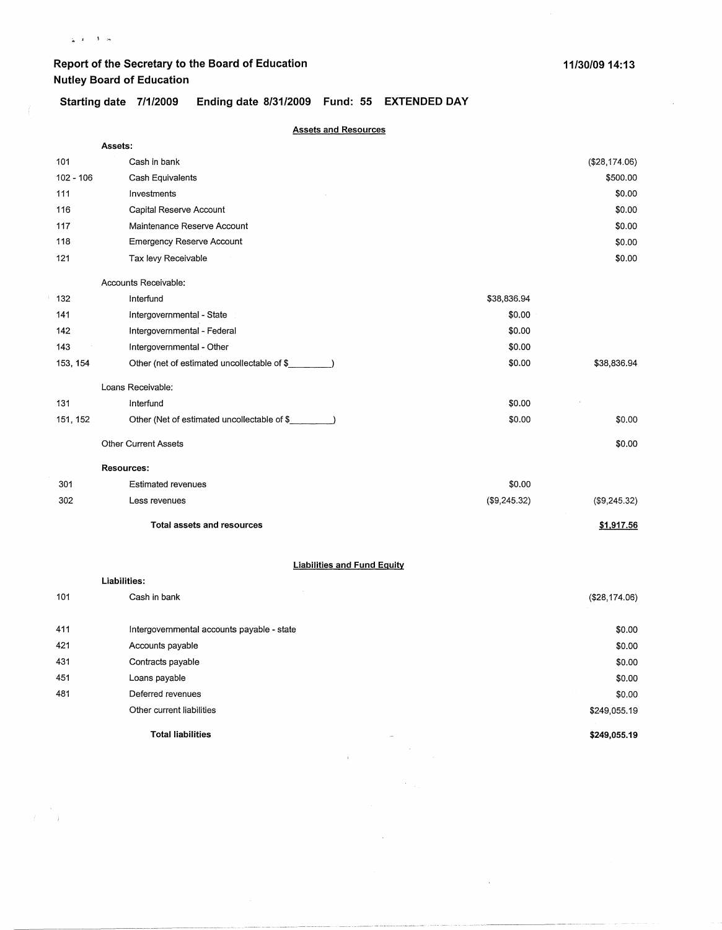$\rightarrow$ 

 $\frac{1}{T}$  ,  $\frac{1}{T}$ 

## **Report of the Secretary to the Board of Education Nutley Board of Education**

**Starting date 7/1/2009 Ending date 8/31/2009 Fund: 55 EXTENDED DAY** 

| <b>Assets and Resources</b> |  |  |
|-----------------------------|--|--|
|                             |  |  |

|             | Assets:                                     |              |               |
|-------------|---------------------------------------------|--------------|---------------|
| 101         | Cash in bank                                |              | (\$28,174.06) |
| $102 - 106$ | Cash Equivalents                            |              | \$500.00      |
| 111         | Investments                                 |              | \$0.00        |
| 116         | Capital Reserve Account                     |              | \$0.00        |
| 117         | Maintenance Reserve Account                 |              | \$0.00        |
| 118         | <b>Emergency Reserve Account</b>            |              | \$0.00        |
| 121         | Tax levy Receivable                         |              | \$0.00        |
|             | Accounts Receivable:                        |              |               |
| 132         | Interfund                                   | \$38,836.94  |               |
| 141         | Intergovernmental - State                   | \$0.00       |               |
| 142         | Intergovernmental - Federal                 | \$0.00       |               |
| 143         | Intergovernmental - Other                   | \$0.00       |               |
| 153, 154    | Other (net of estimated uncollectable of \$ | \$0.00       | \$38,836.94   |
|             | Loans Receivable:                           |              |               |
| 131         | Interfund                                   | \$0.00       |               |
| 151, 152    | Other (Net of estimated uncollectable of \$ | \$0.00       | \$0.00        |
|             | <b>Other Current Assets</b>                 |              | \$0.00        |
|             | <b>Resources:</b>                           |              |               |
| 301         | Estimated revenues                          | \$0.00       |               |
| 302         | Less revenues                               | (\$9,245.32) | (\$9,245.32)  |
|             | <b>Total assets and resources</b>           |              | \$1,917.56    |
|             | <b>Liabilities and Fund Equity</b>          |              |               |
|             | Liabilities:                                |              |               |
| 101         | Cash in bank                                |              | (\$28,174.06) |
| 411         | Intergovernmental accounts payable - state  |              | \$0.00        |
| 421         | Accounts payable                            |              | \$0.00        |
| 431         | Contracts payable                           |              | \$0.00        |
| 451         | Loans payable                               |              | \$0.00        |
| 481         | Deferred revenues                           |              | \$0.00        |
|             | Other current liabilities                   |              | \$249,055.19  |
|             | <b>Total liabilities</b>                    |              | \$249,055.19  |

 $\label{eq:2.1} \frac{1}{\sqrt{2}}\int_{\mathbb{R}^{3}}\left|\frac{d\mathbf{r}}{d\mathbf{r}}\right|^{2}d\mathbf{r}d\mathbf{r}$ 

 $\frac{d\mathbf{r}}{d\mathbf{r}} = \frac{1}{2} \frac{d\mathbf{r}}{d\mathbf{r}}$ 

 $\sim$ 

 $\sim 10^7$